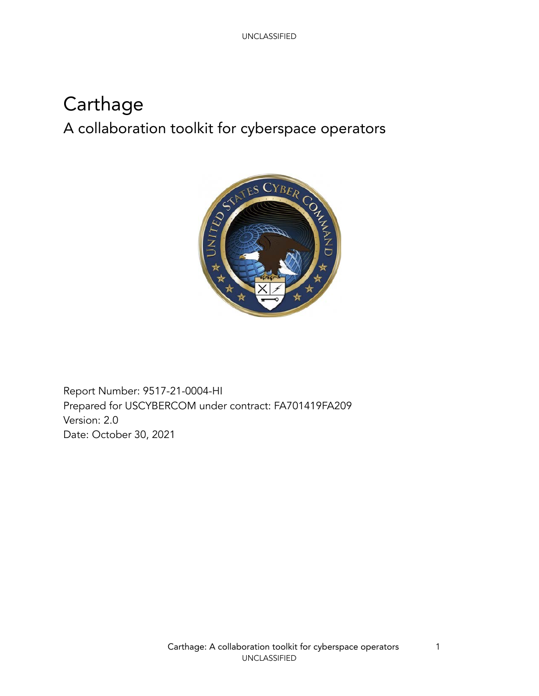# **Carthage**

A collaboration toolkit for cyberspace operators



Report Number: 9517-21-0004-HI Prepared for USCYBERCOM under contract: FA701419FA209 Version: 2.0 Date: October 30, 2021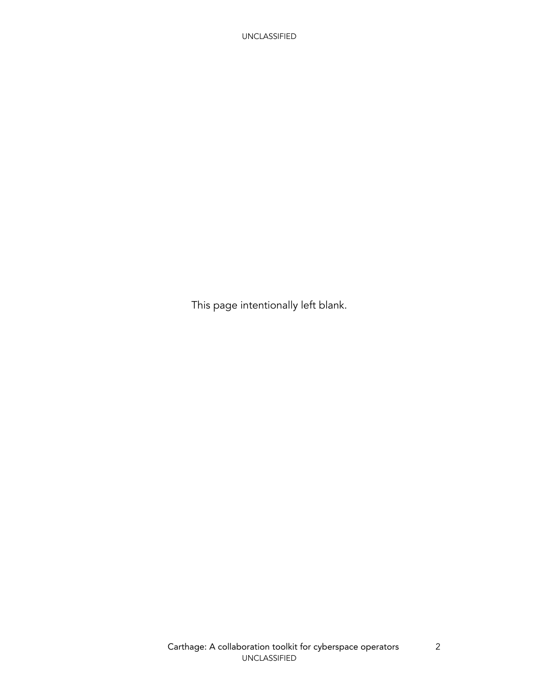This page intentionally left blank.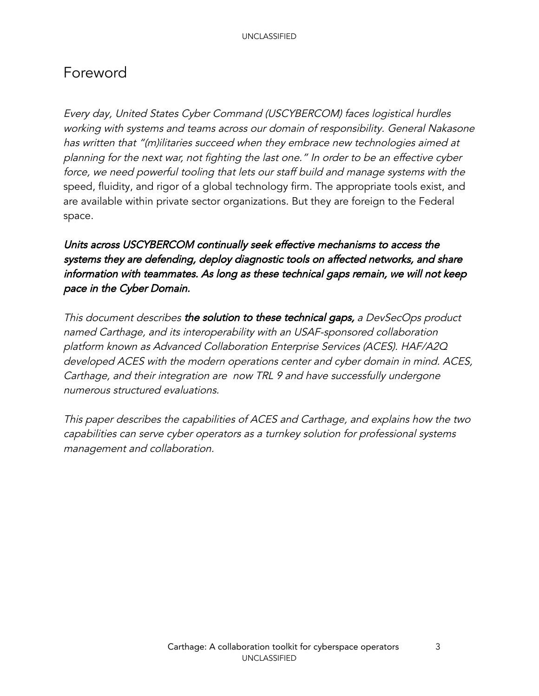#### <span id="page-2-0"></span>Foreword

Every day, United States Cyber Command (USCYBERCOM) faces logistical hurdles working with systems and teams across our domain of responsibility. General Nakasone has written that "(m)ilitaries succeed when they embrace new technologies aimed at planning for the next war, not fighting the last one." In order to be an effective cyber force, we need powerful tooling that lets our staff build and manage systems with the speed, fluidity, and rigor of a global technology firm. The appropriate tools exist, and are available within private sector organizations. But they are foreign to the Federal space.

Units across USCYBERCOM continually seek effective mechanisms to access the systems they are defending, deploy diagnostic tools on affected networks, and share information with teammates. As long as these technical gaps remain, we will not keep pace in the Cyber Domain.

This document describes the solution to these technical gaps, a DevSecOps product named Carthage, and its interoperability with an USAF-sponsored collaboration platform known as Advanced Collaboration Enterprise Services (ACES). HAF/A2Q developed ACES with the modern operations center and cyber domain in mind. ACES, Carthage, and their integration are now TRL 9 and have successfully undergone numerous structured evaluations.

This paper describes the capabilities of ACES and Carthage, and explains how the two capabilities can serve cyber operators as a turnkey solution for professional systems management and collaboration.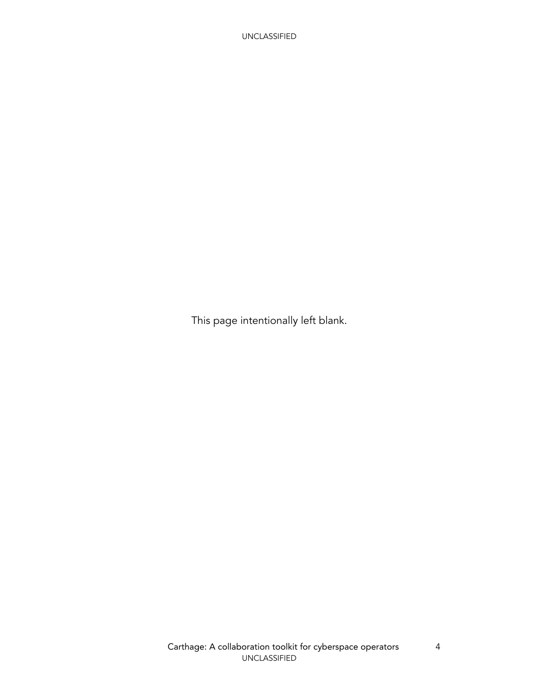This page intentionally left blank.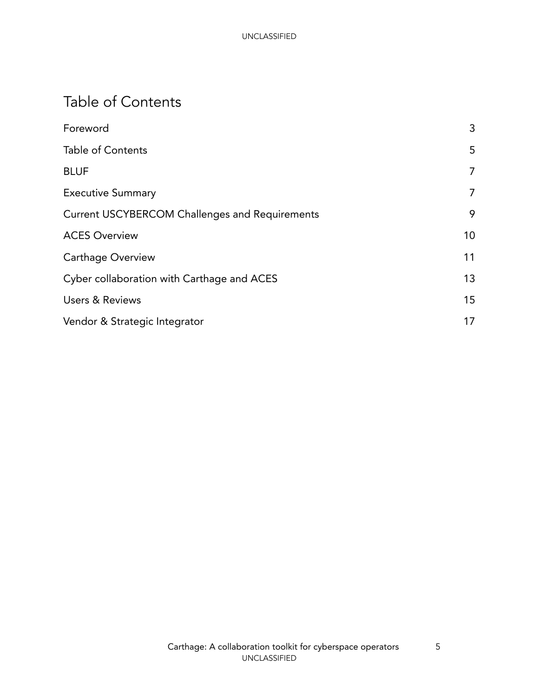# <span id="page-4-0"></span>Table of Contents

| Foreword                                              | 3               |
|-------------------------------------------------------|-----------------|
| <b>Table of Contents</b>                              | 5               |
| <b>BLUF</b>                                           | $\overline{7}$  |
| <b>Executive Summary</b>                              | $\overline{7}$  |
| <b>Current USCYBERCOM Challenges and Requirements</b> | 9               |
| <b>ACES Overview</b>                                  | 10 <sup>°</sup> |
| <b>Carthage Overview</b>                              | 11              |
| Cyber collaboration with Carthage and ACES            | 13              |
| <b>Users &amp; Reviews</b>                            | 15              |
| Vendor & Strategic Integrator                         | 17              |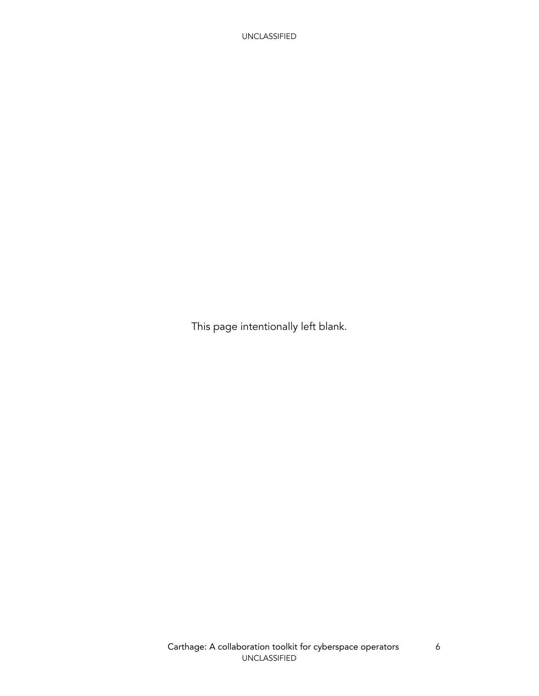UNCLASSIFIED

This page intentionally left blank.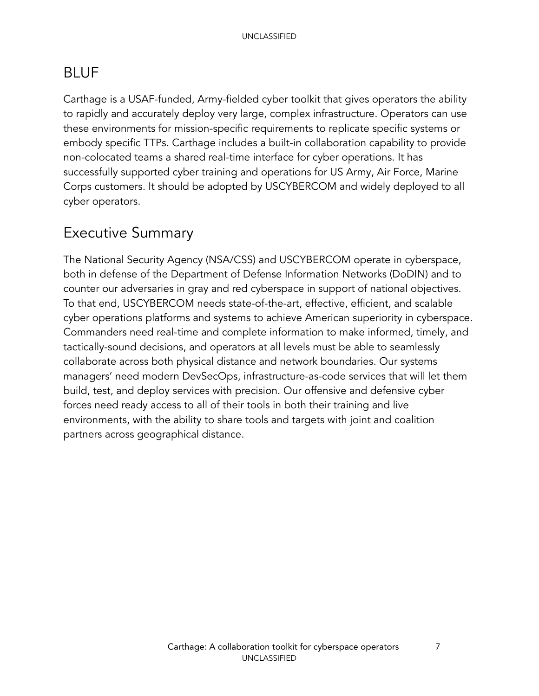### <span id="page-6-0"></span>BLUF

Carthage is a USAF-funded, Army-fielded cyber toolkit that gives operators the ability to rapidly and accurately deploy very large, complex infrastructure. Operators can use these environments for mission-specific requirements to replicate specific systems or embody specific TTPs. Carthage includes a built-in collaboration capability to provide non-colocated teams a shared real-time interface for cyber operations. It has successfully supported cyber training and operations for US Army, Air Force, Marine Corps customers. It should be adopted by USCYBERCOM and widely deployed to all cyber operators.

#### <span id="page-6-1"></span>Executive Summary

The National Security Agency (NSA/CSS) and USCYBERCOM operate in cyberspace, both in defense of the Department of Defense Information Networks (DoDIN) and to counter our adversaries in gray and red cyberspace in support of national objectives. To that end, USCYBERCOM needs state-of-the-art, effective, efficient, and scalable cyber operations platforms and systems to achieve American superiority in cyberspace. Commanders need real-time and complete information to make informed, timely, and tactically-sound decisions, and operators at all levels must be able to seamlessly collaborate across both physical distance and network boundaries. Our systems managers' need modern DevSecOps, infrastructure-as-code services that will let them build, test, and deploy services with precision. Our offensive and defensive cyber forces need ready access to all of their tools in both their training and live environments, with the ability to share tools and targets with joint and coalition partners across geographical distance.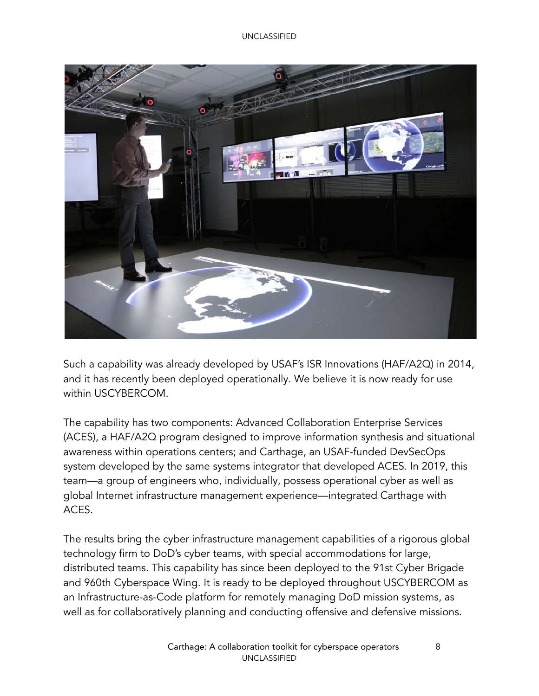

Such a capability was already developed by USAF's ISR Innovations (HAF/A2Q) in 2014, and it has recently been deployed operationally. We believe it is now ready for use within USCYBERCOM.

The capability has two components: Advanced Collaboration Enterprise Services (ACES), a HAF/A2Q program designed to improve information synthesis and situational awareness within operations centers; and Carthage, an USAF-funded DevSecOps system developed by the same systems integrator that developed ACES. In 2019, this team—a group of engineers who, individually, possess operational cyber as well as global Internet infrastructure management experience—integrated Carthage with ACES.

The results bring the cyber infrastructure management capabilities of a rigorous global technology firm to DoD's cyber teams, with special accommodations for large, distributed teams. This capability has since been deployed to the 91st Cyber Brigade and 960th Cyberspace Wing. It is ready to be deployed throughout USCYBERCOM as an Infrastructure-as-Code platform for remotely managing DoD mission systems, as well as for collaboratively planning and conducting offensive and defensive missions.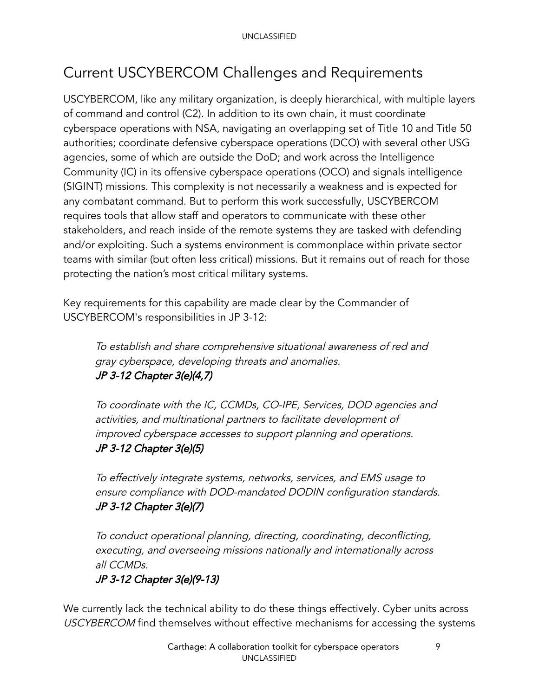# <span id="page-8-0"></span>Current USCYBERCOM Challenges and Requirements

USCYBERCOM, like any military organization, is deeply hierarchical, with multiple layers of command and control (C2). In addition to its own chain, it must coordinate cyberspace operations with NSA, navigating an overlapping set of Title 10 and Title 50 authorities; coordinate defensive cyberspace operations (DCO) with several other USG agencies, some of which are outside the DoD; and work across the Intelligence Community (IC) in its offensive cyberspace operations (OCO) and signals intelligence (SIGINT) missions. This complexity is not necessarily a weakness and is expected for any combatant command. But to perform this work successfully, USCYBERCOM requires tools that allow staff and operators to communicate with these other stakeholders, and reach inside of the remote systems they are tasked with defending and/or exploiting. Such a systems environment is commonplace within private sector teams with similar (but often less critical) missions. But it remains out of reach for those protecting the nation's most critical military systems.

Key requirements for this capability are made clear by the Commander of USCYBERCOM's responsibilities in JP 3-12:

To establish and share comprehensive situational awareness of red and gray cyberspace, developing threats and anomalies. JP 3-12 Chapter 3(e)(4,7)

To coordinate with the IC, CCMDs, CO-IPE, Services, DOD agencies and activities, and multinational partners to facilitate development of improved cyberspace accesses to support planning and operations. JP 3-12 Chapter 3(e)(5)

To effectively integrate systems, networks, services, and EMS usage to ensure compliance with DOD-mandated DODIN configuration standards. JP 3-12 Chapter 3(e)(7)

To conduct operational planning, directing, coordinating, deconflicting, executing, and overseeing missions nationally and internationally across all CCMDs.

JP 3-12 Chapter 3(e)(9-13)

We currently lack the technical ability to do these things effectively. Cyber units across USCYBERCOM find themselves without effective mechanisms for accessing the systems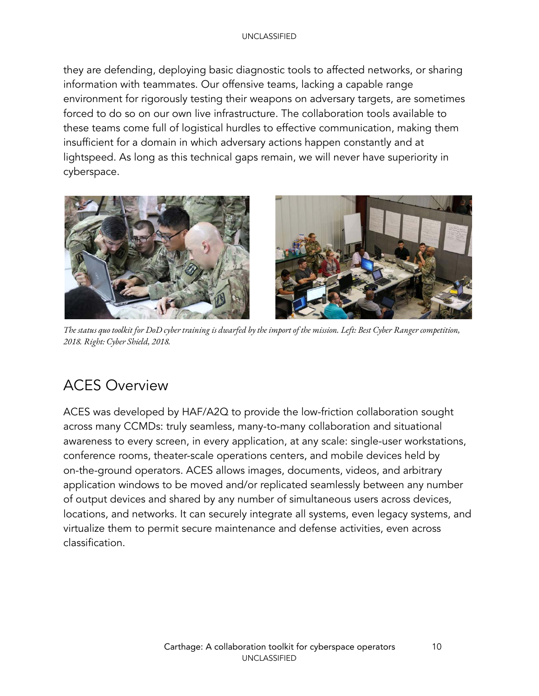they are defending, deploying basic diagnostic tools to affected networks, or sharing information with teammates. Our offensive teams, lacking a capable range environment for rigorously testing their weapons on adversary targets, are sometimes forced to do so on our own live infrastructure. The collaboration tools available to these teams come full of logistical hurdles to effective communication, making them insufficient for a domain in which adversary actions happen constantly and at lightspeed. As long as this technical gaps remain, we will never have superiority in cyberspace.



*The status quo toolkit for DoD cyber training is dwarfed by the import of the mission. Left: Best Cyber Ranger competition, 2018. Right: Cyber Shield, 2018.*

### <span id="page-9-0"></span>ACES Overview

ACES was developed by HAF/A2Q to provide the low-friction collaboration sought across many CCMDs: truly seamless, many-to-many collaboration and situational awareness to every screen, in every application, at any scale: single-user workstations, conference rooms, theater-scale operations centers, and mobile devices held by on-the-ground operators. ACES allows images, documents, videos, and arbitrary application windows to be moved and/or replicated seamlessly between any number of output devices and shared by any number of simultaneous users across devices, locations, and networks. It can securely integrate all systems, even legacy systems, and virtualize them to permit secure maintenance and defense activities, even across classification.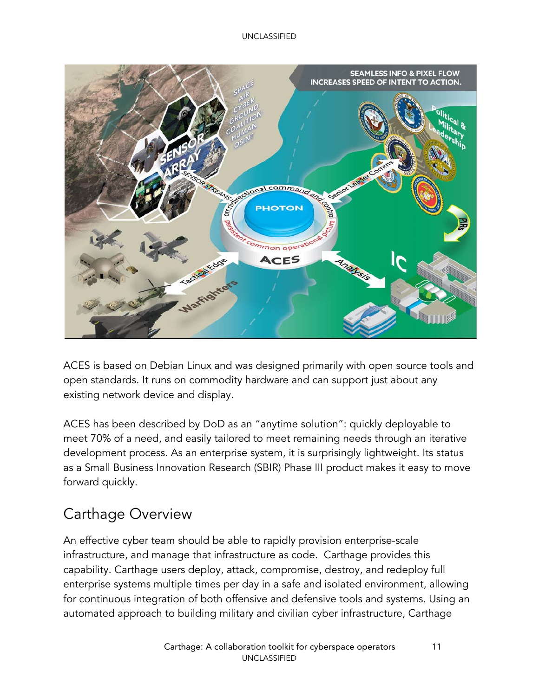

ACES is based on Debian Linux and was designed primarily with open source tools and open standards. It runs on commodity hardware and can support just about any existing network device and display.

ACES has been described by DoD as an "anytime solution": quickly deployable to meet 70% of a need, and easily tailored to meet remaining needs through an iterative development process. As an enterprise system, it is surprisingly lightweight. Its status as a Small Business Innovation Research (SBIR) Phase III product makes it easy to move forward quickly.

# <span id="page-10-0"></span>Carthage Overview

An effective cyber team should be able to rapidly provision enterprise-scale infrastructure, and manage that infrastructure as code. Carthage provides this capability. Carthage users deploy, attack, compromise, destroy, and redeploy full enterprise systems multiple times per day in a safe and isolated environment, allowing for continuous integration of both offensive and defensive tools and systems. Using an automated approach to building military and civilian cyber infrastructure, Carthage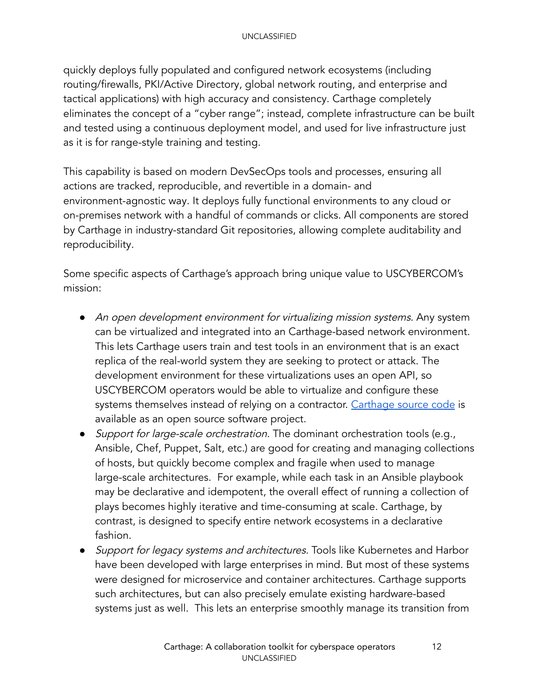quickly deploys fully populated and configured network ecosystems (including routing/firewalls, PKI/Active Directory, global network routing, and enterprise and tactical applications) with high accuracy and consistency. Carthage completely eliminates the concept of a "cyber range"; instead, complete infrastructure can be built and tested using a continuous deployment model, and used for live infrastructure just as it is for range-style training and testing.

This capability is based on modern DevSecOps tools and processes, ensuring all actions are tracked, reproducible, and revertible in a domain- and environment-agnostic way. It deploys fully functional environments to any cloud or on-premises network with a handful of commands or clicks. All components are stored by Carthage in industry-standard Git repositories, allowing complete auditability and reproducibility.

Some specific aspects of Carthage's approach bring unique value to USCYBERCOM's mission:

- An open development environment for virtualizing mission systems. Any system can be virtualized and integrated into an Carthage-based network environment. This lets Carthage users train and test tools in an environment that is an exact replica of the real-world system they are seeking to protect or attack. The development environment for these virtualizations uses an open API, so USCYBERCOM operators would be able to virtualize and configure these systems themselves instead of relying on a contractor. [Carthage source code](https://github.com/Hadron/carthage) is available as an open source software project.
- Support for large-scale orchestration. The dominant orchestration tools (e.g., Ansible, Chef, Puppet, Salt, etc.) are good for creating and managing collections of hosts, but quickly become complex and fragile when used to manage large-scale architectures. For example, while each task in an Ansible playbook may be declarative and idempotent, the overall effect of running a collection of plays becomes highly iterative and time-consuming at scale. Carthage, by contrast, is designed to specify entire network ecosystems in a declarative fashion.
- Support for legacy systems and architectures. Tools like Kubernetes and Harbor have been developed with large enterprises in mind. But most of these systems were designed for microservice and container architectures. Carthage supports such architectures, but can also precisely emulate existing hardware-based systems just as well. This lets an enterprise smoothly manage its transition from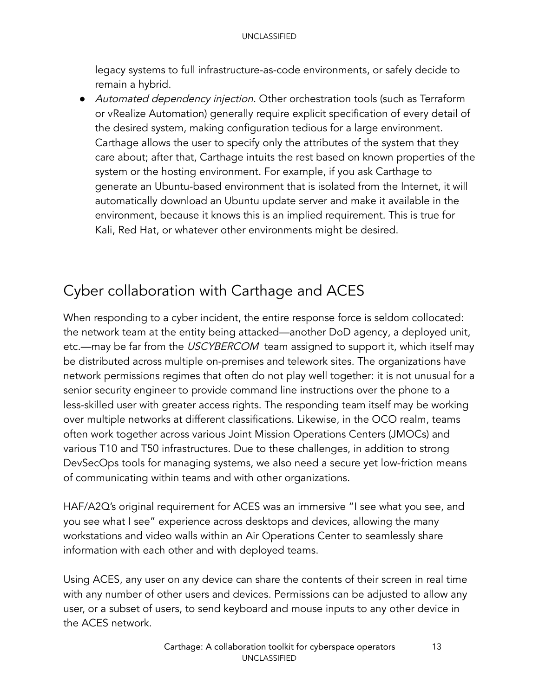legacy systems to full infrastructure-as-code environments, or safely decide to remain a hybrid.

• Automated dependency injection. Other orchestration tools (such as Terraform or vRealize Automation) generally require explicit specification of every detail of the desired system, making configuration tedious for a large environment. Carthage allows the user to specify only the attributes of the system that they care about; after that, Carthage intuits the rest based on known properties of the system or the hosting environment. For example, if you ask Carthage to generate an Ubuntu-based environment that is isolated from the Internet, it will automatically download an Ubuntu update server and make it available in the environment, because it knows this is an implied requirement. This is true for Kali, Red Hat, or whatever other environments might be desired.

# <span id="page-12-0"></span>Cyber collaboration with Carthage and ACES

When responding to a cyber incident, the entire response force is seldom collocated: the network team at the entity being attacked—another DoD agency, a deployed unit, etc.—may be far from the USCYBERCOM team assigned to support it, which itself may be distributed across multiple on-premises and telework sites. The organizations have network permissions regimes that often do not play well together: it is not unusual for a senior security engineer to provide command line instructions over the phone to a less-skilled user with greater access rights. The responding team itself may be working over multiple networks at different classifications. Likewise, in the OCO realm, teams often work together across various Joint Mission Operations Centers (JMOCs) and various T10 and T50 infrastructures. Due to these challenges, in addition to strong DevSecOps tools for managing systems, we also need a secure yet low-friction means of communicating within teams and with other organizations.

HAF/A2Q's original requirement for ACES was an immersive "I see what you see, and you see what I see" experience across desktops and devices, allowing the many workstations and video walls within an Air Operations Center to seamlessly share information with each other and with deployed teams.

Using ACES, any user on any device can share the contents of their screen in real time with any number of other users and devices. Permissions can be adjusted to allow any user, or a subset of users, to send keyboard and mouse inputs to any other device in the ACES network.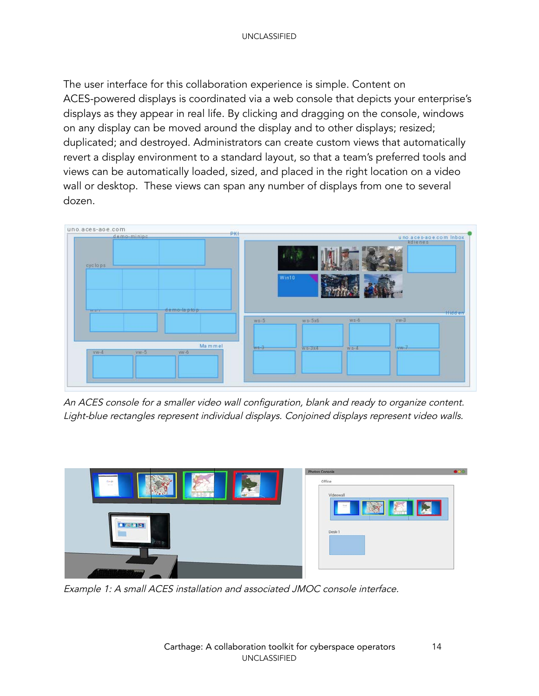#### UNCLASSIFIED

The user interface for this collaboration experience is simple. Content on ACES-powered displays is coordinated via a web console that depicts your enterprise's displays as they appear in real life. By clicking and dragging on the console, windows on any display can be moved around the display and to other displays; resized; duplicated; and destroyed. Administrators can create custom views that automatically revert a display environment to a standard layout, so that a team's preferred tools and views can be automatically loaded, sized, and placed in the right location on a video wall or desktop. These views can span any number of displays from one to several dozen.



An ACES console for a smaller video wall configuration, blank and ready to organize content. Light-blue rectangles represent individual displays. Conjoined displays represent video walls.



Example 1: A small ACES installation and associated JMOC console interface.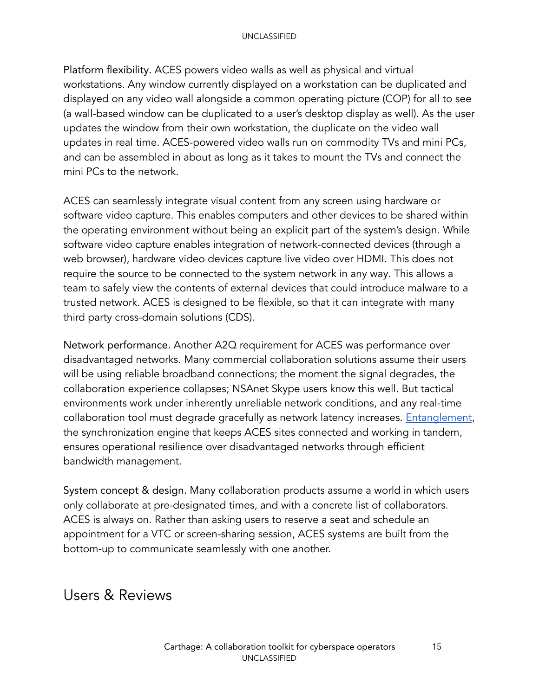Platform flexibility. ACES powers video walls as well as physical and virtual workstations. Any window currently displayed on a workstation can be duplicated and displayed on any video wall alongside a common operating picture (COP) for all to see (a wall-based window can be duplicated to a user's desktop display as well). As the user updates the window from their own workstation, the duplicate on the video wall updates in real time. ACES-powered video walls run on commodity TVs and mini PCs, and can be assembled in about as long as it takes to mount the TVs and connect the mini PCs to the network.

ACES can seamlessly integrate visual content from any screen using hardware or software video capture. This enables computers and other devices to be shared within the operating environment without being an explicit part of the system's design. While software video capture enables integration of network-connected devices (through a web browser), hardware video devices capture live video over HDMI. This does not require the source to be connected to the system network in any way. This allows a team to safely view the contents of external devices that could introduce malware to a trusted network. ACES is designed to be flexible, so that it can integrate with many third party cross-domain solutions (CDS).

Network performance. Another A2Q requirement for ACES was performance over disadvantaged networks. Many commercial collaboration solutions assume their users will be using reliable broadband connections; the moment the signal degrades, the collaboration experience collapses; NSAnet Skype users know this well. But tactical environments work under inherently unreliable network conditions, and any real-time collaboration tool must degrade gracefully as network latency increases. [Entanglement](https://github.com/Hadron/entanglement), the synchronization engine that keeps ACES sites connected and working in tandem, ensures operational resilience over disadvantaged networks through efficient bandwidth management.

System concept & design. Many collaboration products assume a world in which users only collaborate at pre-designated times, and with a concrete list of collaborators. ACES is always on. Rather than asking users to reserve a seat and schedule an appointment for a VTC or screen-sharing session, ACES systems are built from the bottom-up to communicate seamlessly with one another.

<span id="page-14-0"></span>Users & Reviews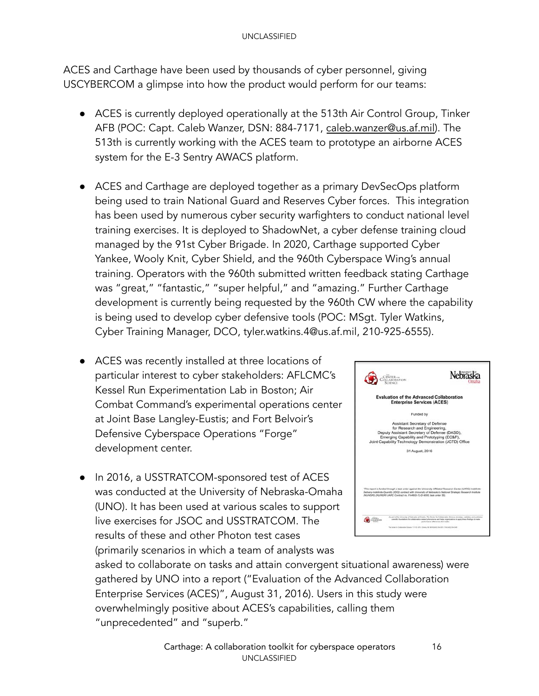ACES and Carthage have been used by thousands of cyber personnel, giving USCYBERCOM a glimpse into how the product would perform for our teams:

- ACES is currently deployed operationally at the 513th Air Control Group, Tinker AFB (POC: Capt. Caleb Wanzer, DSN: 884-7171, [caleb.wanzer@us.af.mil\)](http://caleb.wanzer@us.af.mil). The 513th is currently working with the ACES team to prototype an airborne ACES system for the E-3 Sentry AWACS platform.
- ACES and Carthage are deployed together as a primary DevSecOps platform being used to train National Guard and Reserves Cyber forces. This integration has been used by numerous cyber security warfighters to conduct national level training exercises. It is deployed to ShadowNet, a cyber defense training cloud managed by the 91st Cyber Brigade. In 2020, Carthage supported Cyber Yankee, Wooly Knit, Cyber Shield, and the 960th Cyberspace Wing's annual training. Operators with the 960th submitted written feedback stating Carthage was "great," "fantastic," "super helpful," and "amazing." Further Carthage development is currently being requested by the 960th CW where the capability is being used to develop cyber defensive tools (POC: MSgt. Tyler Watkins, Cyber Training Manager, DCO, tyler.watkins.4@us.af.mil, 210-925-6555).
- ACES was recently installed at three locations of particular interest to cyber stakeholders: AFLCMC's Kessel Run Experimentation Lab in Boston; Air Combat Command's experimental operations center at Joint Base Langley-Eustis; and Fort Belvoir's Defensive Cyberspace Operations "Forge" development center.
- In 2016, a USSTRATCOM-sponsored test of ACES was conducted at the University of Nebraska-Omaha (UNO). It has been used at various scales to support live exercises for JSOC and USSTRATCOM. The results of these and other Photon test cases (primarily scenarios in which a team of analysts was



asked to collaborate on tasks and attain convergent situational awareness) were gathered by UNO into a report ("Evaluation of the Advanced Collaboration Enterprise Services (ACES)", August 31, 2016). Users in this study were overwhelmingly positive about ACES's capabilities, calling them "unprecedented" and "superb."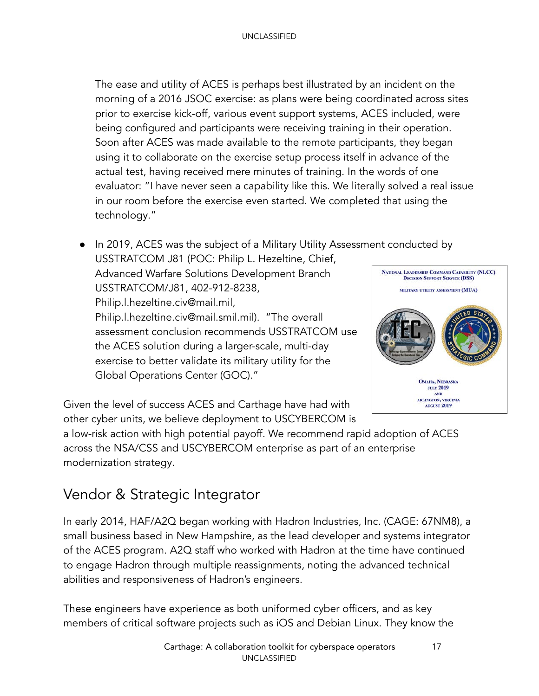The ease and utility of ACES is perhaps best illustrated by an incident on the morning of a 2016 JSOC exercise: as plans were being coordinated across sites prior to exercise kick-off, various event support systems, ACES included, were being configured and participants were receiving training in their operation. Soon after ACES was made available to the remote participants, they began using it to collaborate on the exercise setup process itself in advance of the actual test, having received mere minutes of training. In the words of one evaluator: "I have never seen a capability like this. We literally solved a real issue in our room before the exercise even started. We completed that using the technology."

● In 2019, ACES was the subject of a Military Utility Assessment conducted by USSTRATCOM J81 (POC: Philip L. Hezeltine, Chief, Advanced Warfare Solutions Development Branch USSTRATCOM/J81, 402-912-8238, Philip.l.hezeltine.civ@mail.mil, Philip.l.hezeltine.civ@mail.smil.mil). "The overall assessment conclusion recommends USSTRATCOM use the ACES solution during a larger-scale, multi-day exercise to better validate its military utility for the Global Operations Center (GOC)."



Given the level of success ACES and Carthage have had with other cyber units, we believe deployment to USCYBERCOM is

a low-risk action with high potential payoff. We recommend rapid adoption of ACES across the NSA/CSS and USCYBERCOM enterprise as part of an enterprise modernization strategy.

### <span id="page-16-0"></span>Vendor & Strategic Integrator

In early 2014, HAF/A2Q began working with Hadron Industries, Inc. (CAGE: 67NM8), a small business based in New Hampshire, as the lead developer and systems integrator of the ACES program. A2Q staff who worked with Hadron at the time have continued to engage Hadron through multiple reassignments, noting the advanced technical abilities and responsiveness of Hadron's engineers.

These engineers have experience as both uniformed cyber officers, and as key members of critical software projects such as iOS and Debian Linux. They know the